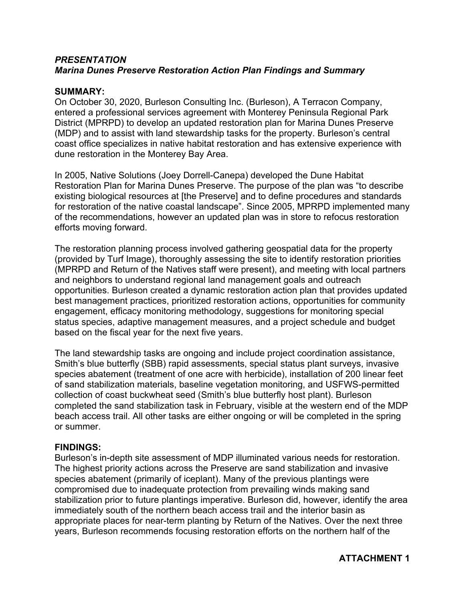## *PRESENTATION Marina Dunes Preserve Restoration Action Plan Findings and Summary*

## **SUMMARY:**

On October 30, 2020, Burleson Consulting Inc. (Burleson), A Terracon Company, entered a professional services agreement with Monterey Peninsula Regional Park District (MPRPD) to develop an updated restoration plan for Marina Dunes Preserve (MDP) and to assist with land stewardship tasks for the property. Burleson's central coast office specializes in native habitat restoration and has extensive experience with dune restoration in the Monterey Bay Area.

In 2005, Native Solutions (Joey Dorrell-Canepa) developed the Dune Habitat Restoration Plan for Marina Dunes Preserve. The purpose of the plan was "to describe existing biological resources at [the Preserve] and to define procedures and standards for restoration of the native coastal landscape". Since 2005, MPRPD implemented many of the recommendations, however an updated plan was in store to refocus restoration efforts moving forward.

The restoration planning process involved gathering geospatial data for the property (provided by Turf Image), thoroughly assessing the site to identify restoration priorities (MPRPD and Return of the Natives staff were present), and meeting with local partners and neighbors to understand regional land management goals and outreach opportunities. Burleson created a dynamic restoration action plan that provides updated best management practices, prioritized restoration actions, opportunities for community engagement, efficacy monitoring methodology, suggestions for monitoring special status species, adaptive management measures, and a project schedule and budget based on the fiscal year for the next five years.

The land stewardship tasks are ongoing and include project coordination assistance, Smith's blue butterfly (SBB) rapid assessments, special status plant surveys, invasive species abatement (treatment of one acre with herbicide), installation of 200 linear feet of sand stabilization materials, baseline vegetation monitoring, and USFWS-permitted collection of coast buckwheat seed (Smith's blue butterfly host plant). Burleson completed the sand stabilization task in February, visible at the western end of the MDP beach access trail. All other tasks are either ongoing or will be completed in the spring or summer.

## **FINDINGS:**

Burleson's in-depth site assessment of MDP illuminated various needs for restoration. The highest priority actions across the Preserve are sand stabilization and invasive species abatement (primarily of iceplant). Many of the previous plantings were compromised due to inadequate protection from prevailing winds making sand stabilization prior to future plantings imperative. Burleson did, however, identify the area immediately south of the northern beach access trail and the interior basin as appropriate places for near-term planting by Return of the Natives. Over the next three years, Burleson recommends focusing restoration efforts on the northern half of the